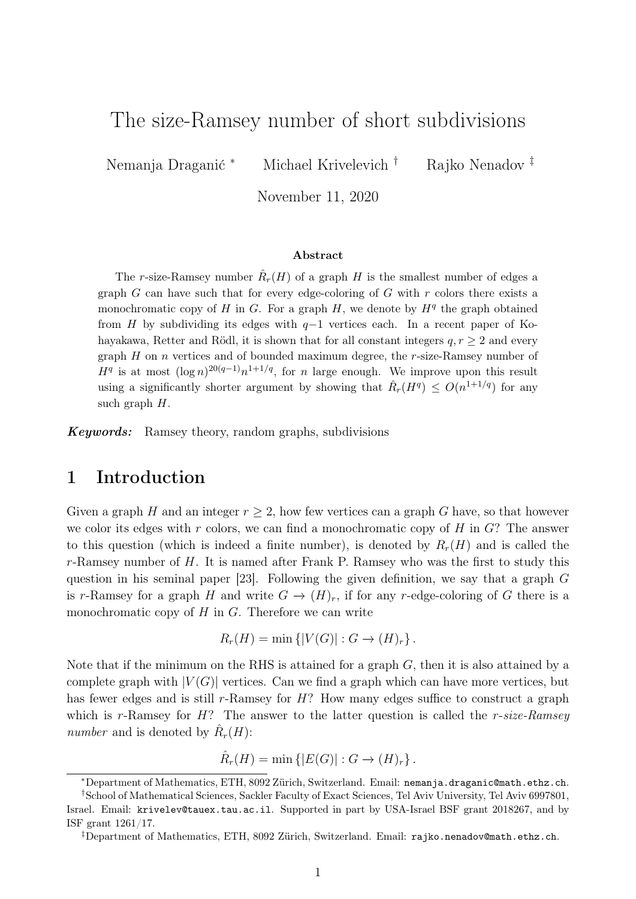# The size-Ramsey number of short subdivisions

Nemanja Draganić <sup>∗</sup> Michael Krivelevich <sup>†</sup> Rajko Nenadov <sup>‡</sup>

November 11, 2020

#### Abstract

The r-size-Ramsey number  $\hat{R}_r(H)$  of a graph H is the smallest number of edges a graph  $G$  can have such that for every edge-coloring of  $G$  with  $r$  colors there exists a monochromatic copy of H in G. For a graph  $H$ , we denote by  $H<sup>q</sup>$  the graph obtained from H by subdividing its edges with  $q-1$  vertices each. In a recent paper of Kohayakawa, Retter and Rödl, it is shown that for all constant integers  $q, r \geq 2$  and every graph  $H$  on  $n$  vertices and of bounded maximum degree, the  $r$ -size-Ramsey number of  $H<sup>q</sup>$  is at most  $(\log n)^{20(q-1)}n^{1+1/q}$ , for n large enough. We improve upon this result using a significantly shorter argument by showing that  $\hat{R}_r(H^q) \leq O(n^{1+1/q})$  for any such graph  $H$ .

Keywords: Ramsey theory, random graphs, subdivisions

### 1 Introduction

Given a graph H and an integer  $r > 2$ , how few vertices can a graph G have, so that however we color its edges with  $r$  colors, we can find a monochromatic copy of  $H$  in  $G$ ? The answer to this question (which is indeed a finite number), is denoted by  $R_r(H)$  and is called the  $r$ -Ramsey number of  $H$ . It is named after Frank P. Ramsey who was the first to study this question in his seminal paper [\[23\]](#page-11-0). Following the given definition, we say that a graph G is r-Ramsey for a graph H and write  $G \to (H)_r$ , if for any r-edge-coloring of G there is a monochromatic copy of  $H$  in  $G$ . Therefore we can write

$$
R_r(H) = \min \left\{ |V(G)| : G \to (H)_r \right\}.
$$

Note that if the minimum on the RHS is attained for a graph  $G$ , then it is also attained by a complete graph with  $|V(G)|$  vertices. Can we find a graph which can have more vertices, but has fewer edges and is still r-Ramsey for  $H$ ? How many edges suffice to construct a graph which is r-Ramsey for  $H$ ? The answer to the latter question is called the r-size-Ramsey number and is denoted by  $\hat{R}_r(H)$ :

 $\hat{R}_r(H) = \min \{|E(G)| : G \to (H)_r\}.$ 

<sup>∗</sup>Department of Mathematics, ETH, 8092 Zürich, Switzerland. Email: [nemanja.draganic@math.ethz.ch](mailto:nemanja.draganic@math.ethz.ch).

<sup>†</sup>School of Mathematical Sciences, Sackler Faculty of Exact Sciences, Tel Aviv University, Tel Aviv 6997801, Israel. Email: [krivelev@tauex.tau.ac.il](mailto:krivelev@tauex.tau.ac.il). Supported in part by USA-Israel BSF grant 2018267, and by ISF grant 1261/17.

<sup>‡</sup>Department of Mathematics, ETH, 8092 Zürich, Switzerland. Email: [rajko.nenadov@math.ethz.ch](mailto:rajko.nenadov@math.ethz.ch).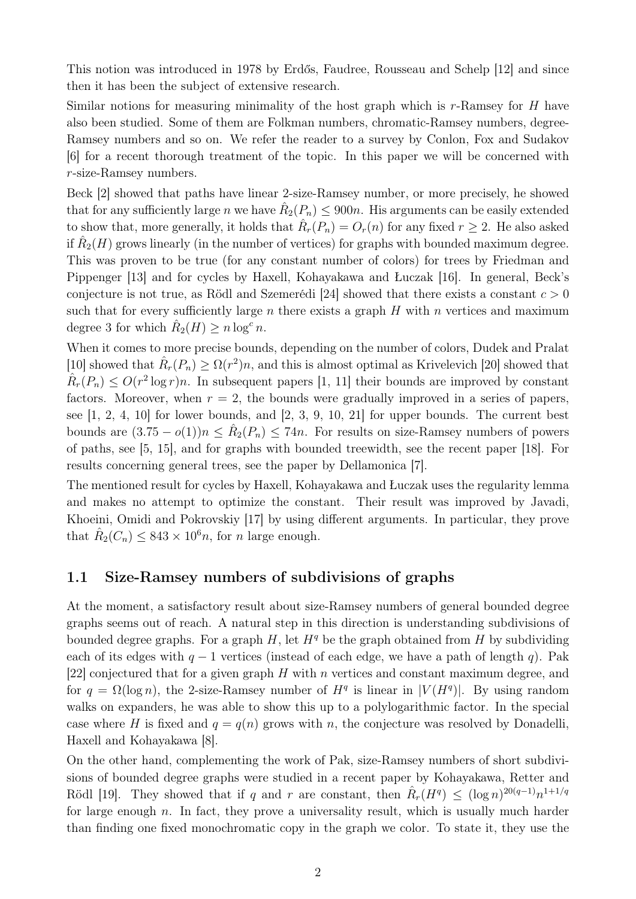This notion was introduced in 1978 by Erdős, Faudree, Rousseau and Schelp [\[12\]](#page-11-1) and since then it has been the subject of extensive research.

Similar notions for measuring minimality of the host graph which is  $r$ -Ramsey for H have also been studied. Some of them are Folkman numbers, chromatic-Ramsey numbers, degree-Ramsey numbers and so on. We refer the reader to a survey by Conlon, Fox and Sudakov [\[6\]](#page-10-0) for a recent thorough treatment of the topic. In this paper we will be concerned with r-size-Ramsey numbers.

Beck [\[2\]](#page-10-1) showed that paths have linear 2-size-Ramsey number, or more precisely, he showed that for any sufficiently large n we have  $\hat{R}_2(P_n) \le 900n$ . His arguments can be easily extended to show that, more generally, it holds that  $\hat{R}_r(P_n) = O_r(n)$  for any fixed  $r \geq 2$ . He also asked if  $\hat{R}_2(H)$  grows linearly (in the number of vertices) for graphs with bounded maximum degree. This was proven to be true (for any constant number of colors) for trees by Friedman and Pippenger [\[13\]](#page-11-2) and for cycles by Haxell, Kohayakawa and Łuczak [\[16\]](#page-11-3). In general, Beck's conjecture is not true, as Rödl and Szemerédi [\[24\]](#page-11-4) showed that there exists a constant  $c > 0$ such that for every sufficiently large n there exists a graph  $H$  with n vertices and maximum degree 3 for which  $\hat{R}_2(H) \ge n \log^c n$ .

When it comes to more precise bounds, depending on the number of colors, Dudek and Pralat [\[10\]](#page-11-5) showed that  $\hat{R}_r(P_n) \geq \Omega(r^2)n$ , and this is almost optimal as Krivelevich [\[20\]](#page-11-6) showed that  $\hat{R}_r(P_n) \leq O(r^2 \log r)n$ . In subsequent papers [\[1,](#page-10-2) [11\]](#page-11-7) their bounds are improved by constant factors. Moreover, when  $r = 2$ , the bounds were gradually improved in a series of papers, see [\[1,](#page-10-2) [2,](#page-10-1) [4,](#page-10-3) [10\]](#page-11-5) for lower bounds, and [\[2,](#page-10-1) [3,](#page-10-4) [9,](#page-11-8) [10,](#page-11-5) [21\]](#page-11-9) for upper bounds. The current best bounds are  $(3.75 - o(1))n \leq \hat{R}_2(P_n) \leq 74n$ . For results on size-Ramsey numbers of powers of paths, see [\[5,](#page-10-5) [15\]](#page-11-10), and for graphs with bounded treewidth, see the recent paper [\[18\]](#page-11-11). For results concerning general trees, see the paper by Dellamonica [\[7\]](#page-11-12).

The mentioned result for cycles by Haxell, Kohayakawa and Łuczak uses the regularity lemma and makes no attempt to optimize the constant. Their result was improved by Javadi, Khoeini, Omidi and Pokrovskiy [\[17\]](#page-11-13) by using different arguments. In particular, they prove that  $\hat{R}_2(C_n) \leq 843 \times 10^6 n$ , for *n* large enough.

#### 1.1 Size-Ramsey numbers of subdivisions of graphs

At the moment, a satisfactory result about size-Ramsey numbers of general bounded degree graphs seems out of reach. A natural step in this direction is understanding subdivisions of bounded degree graphs. For a graph  $H$ , let  $H<sup>q</sup>$  be the graph obtained from H by subdividing each of its edges with  $q - 1$  vertices (instead of each edge, we have a path of length q). Pak [\[22\]](#page-11-14) conjectured that for a given graph  $H$  with n vertices and constant maximum degree, and for  $q = \Omega(\log n)$ , the 2-size-Ramsey number of  $H<sup>q</sup>$  is linear in  $|V(H<sup>q</sup>)|$ . By using random walks on expanders, he was able to show this up to a polylogarithmic factor. In the special case where H is fixed and  $q = q(n)$  grows with n, the conjecture was resolved by Donadelli. Haxell and Kohayakawa [\[8\]](#page-11-15).

On the other hand, complementing the work of Pak, size-Ramsey numbers of short subdivisions of bounded degree graphs were studied in a recent paper by Kohayakawa, Retter and Rödl [\[19\]](#page-11-16). They showed that if q and r are constant, then  $\hat{R}_r(H^q) \leq (\log n)^{20(q-1)} n^{1+1/q}$ for large enough  $n$ . In fact, they prove a universality result, which is usually much harder than finding one fixed monochromatic copy in the graph we color. To state it, they use the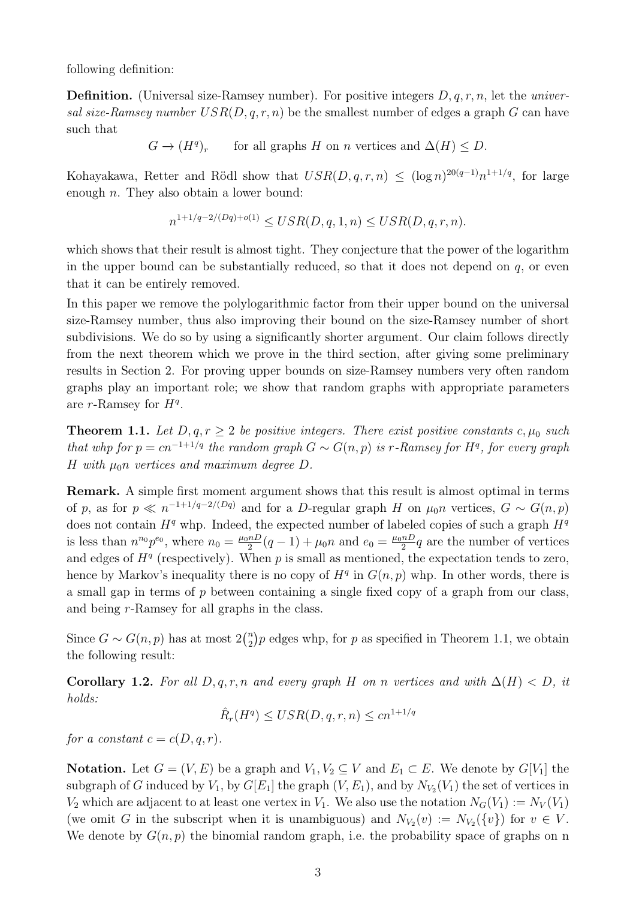following definition:

**Definition.** (Universal size-Ramsey number). For positive integers  $D, q, r, n$ , let the *univer*sal size-Ramsey number  $USR(D, q, r, n)$  be the smallest number of edges a graph G can have such that

> $G \to (H^q$ for all graphs H on n vertices and  $\Delta(H) \leq D$ .

Kohayakawa, Retter and Rödl show that  $USR(D, q, r, n) \leq (\log n)^{20(q-1)} n^{1+1/q}$ , for large enough n. They also obtain a lower bound:

$$
n^{1+1/q-2/(Dq)+o(1)} \leq USR(D, q, 1, n) \leq USR(D, q, r, n).
$$

which shows that their result is almost tight. They conjecture that the power of the logarithm in the upper bound can be substantially reduced, so that it does not depend on  $q$ , or even that it can be entirely removed.

In this paper we remove the polylogarithmic factor from their upper bound on the universal size-Ramsey number, thus also improving their bound on the size-Ramsey number of short subdivisions. We do so by using a significantly shorter argument. Our claim follows directly from the next theorem which we prove in the third section, after giving some preliminary results in Section 2. For proving upper bounds on size-Ramsey numbers very often random graphs play an important role; we show that random graphs with appropriate parameters are  $r$ -Ramsey for  $H<sup>q</sup>$ .

<span id="page-2-0"></span>**Theorem 1.1.** Let  $D, q, r \geq 2$  be positive integers. There exist positive constants c,  $\mu_0$  such that whp for  $p = cn^{-1+1/q}$  the random graph  $G \sim G(n, p)$  is r-Ramsey for  $H<sup>q</sup>$ , for every graph H with  $\mu_0$ n vertices and maximum degree D.

Remark. A simple first moment argument shows that this result is almost optimal in terms of p, as for  $p \ll n^{-1+1/q-2/(Dq)}$  and for a D-regular graph H on  $\mu_0 n$  vertices,  $G \sim G(n, p)$ does not contain  $H^q$  whp. Indeed, the expected number of labeled copies of such a graph  $H^q$ is less than  $n^{n_0}p^{e_0}$ , where  $n_0 = \frac{\mu_0 n D}{2}$  $\frac{nD}{2}(q-1) + \mu_0 n$  and  $e_0 = \frac{\mu_0 nD}{2}$  $\frac{nD}{2}q$  are the number of vertices and edges of  $H<sup>q</sup>$  (respectively). When p is small as mentioned, the expectation tends to zero, hence by Markov's inequality there is no copy of  $H<sup>q</sup>$  in  $G(n, p)$  whp. In other words, there is a small gap in terms of  $p$  between containing a single fixed copy of a graph from our class, and being r-Ramsey for all graphs in the class.

Since  $G \sim G(n, p)$  has at most  $2{n \choose 2}$  $n_2$ ) p edges whp, for p as specified in Theorem [1.1,](#page-2-0) we obtain the following result:

Corollary 1.2. For all  $D, q, r, n$  and every graph H on n vertices and with  $\Delta(H) < D$ , it holds:

$$
\hat{R}_r(H^q) \leq \text{USR}(D, q, r, n) \leq c n^{1+1/q}
$$

for a constant  $c = c(D, q, r)$ .

**Notation.** Let  $G = (V, E)$  be a graph and  $V_1, V_2 \subseteq V$  and  $E_1 \subset E$ . We denote by  $G[V_1]$  the subgraph of G induced by  $V_1$ , by  $G[E_1]$  the graph  $(V, E_1)$ , and by  $N_{V_2}(V_1)$  the set of vertices in  $V_2$  which are adjacent to at least one vertex in  $V_1$ . We also use the notation  $N_G(V_1) := N_V(V_1)$ (we omit G in the subscript when it is unambiguous) and  $N_{V_2}(v) := N_{V_2}(\{v\})$  for  $v \in V$ . We denote by  $G(n, p)$  the binomial random graph, i.e. the probability space of graphs on n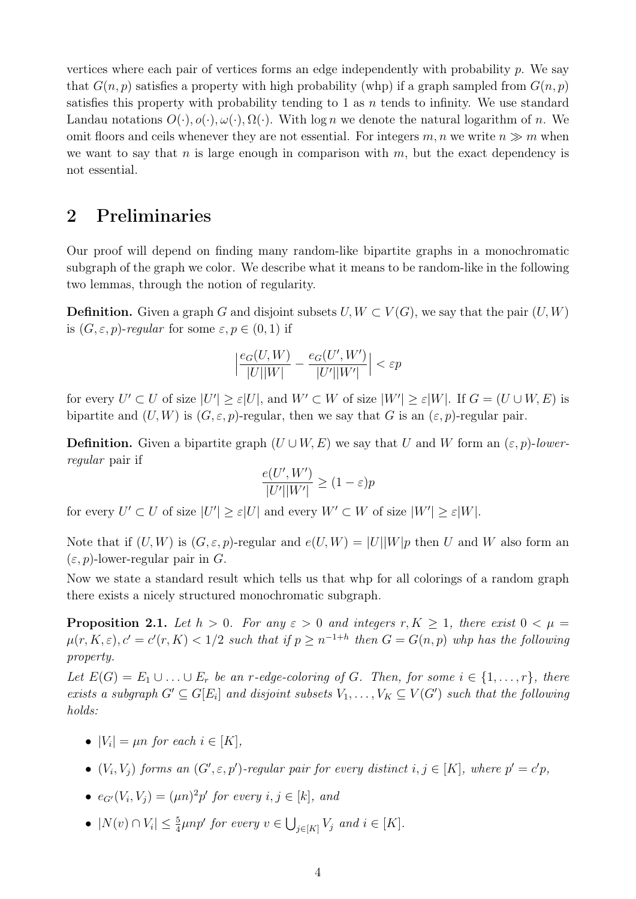vertices where each pair of vertices forms an edge independently with probability  $p$ . We say that  $G(n, p)$  satisfies a property with high probability (whp) if a graph sampled from  $G(n, p)$ satisfies this property with probability tending to 1 as  $n$  tends to infinity. We use standard Landau notations  $O(\cdot), o(\cdot), \omega(\cdot), \Omega(\cdot)$ . With  $\log n$  we denote the natural logarithm of n. We omit floors and ceils whenever they are not essential. For integers  $m, n$  we write  $n \gg m$  when we want to say that n is large enough in comparison with  $m$ , but the exact dependency is not essential.

### 2 Preliminaries

Our proof will depend on finding many random-like bipartite graphs in a monochromatic subgraph of the graph we color. We describe what it means to be random-like in the following two lemmas, through the notion of regularity.

**Definition.** Given a graph G and disjoint subsets  $U, W \subset V(G)$ , we say that the pair  $(U, W)$ is  $(G, \varepsilon, p)$ -regular for some  $\varepsilon, p \in (0, 1)$  if

$$
\Big|\frac{e_G(U,W)}{|U||W|} - \frac{e_G(U',W')}{|U'||W'|}\Big| < \varepsilon p
$$

for every  $U' \subset U$  of size  $|U'| \geq \varepsilon |U|$ , and  $W' \subset W$  of size  $|W'| \geq \varepsilon |W|$ . If  $G = (U \cup W, E)$  is bipartite and  $(U, W)$  is  $(G, \varepsilon, p)$ -regular, then we say that G is an  $(\varepsilon, p)$ -regular pair.

**Definition.** Given a bipartite graph  $(U \cup W, E)$  we say that U and W form an  $(\varepsilon, p)$ -lowerregular pair if

$$
\frac{e(U', W')}{|U'||W'|} \ge (1 - \varepsilon)p
$$

for every  $U' \subset U$  of size  $|U'| \geq \varepsilon |U|$  and every  $W' \subset W$  of size  $|W'| \geq \varepsilon |W|$ .

Note that if  $(U, W)$  is  $(G, \varepsilon, p)$ -regular and  $e(U, W) = |U||W|p$  then U and W also form an  $(\varepsilon, p)$ -lower-regular pair in G.

Now we state a standard result which tells us that whp for all colorings of a random graph there exists a nicely structured monochromatic subgraph.

<span id="page-3-0"></span>**Proposition 2.1.** Let  $h > 0$ . For any  $\varepsilon > 0$  and integers  $r, K \ge 1$ , there exist  $0 < \mu =$  $\mu(r, K, \varepsilon), c' = c'(r, K) < 1/2$  such that if  $p \geq n^{-1+h}$  then  $G = G(n, p)$  whp has the following property.

Let  $E(G) = E_1 \cup ... \cup E_r$  be an r-edge-coloring of G. Then, for some  $i \in \{1,...,r\}$ , there exists a subgraph  $G' \subseteq G[E_i]$  and disjoint subsets  $V_1, \ldots, V_K \subseteq V(G')$  such that the following holds:

- $|V_i| = \mu n$  for each  $i \in [K]$ ,
- $(V_i, V_j)$  forms an  $(G', \varepsilon, p')$ -regular pair for every distinct  $i, j \in [K]$ , where  $p' = c'p$ ,
- $e_{G'}(V_i, V_j) = (\mu n)^2 p'$  for every  $i, j \in [k]$ , and
- $|N(v) \cap V_i| \leq \frac{5}{4} \mu n p'$  for every  $v \in \bigcup_{j \in [K]} V_j$  and  $i \in [K]$ .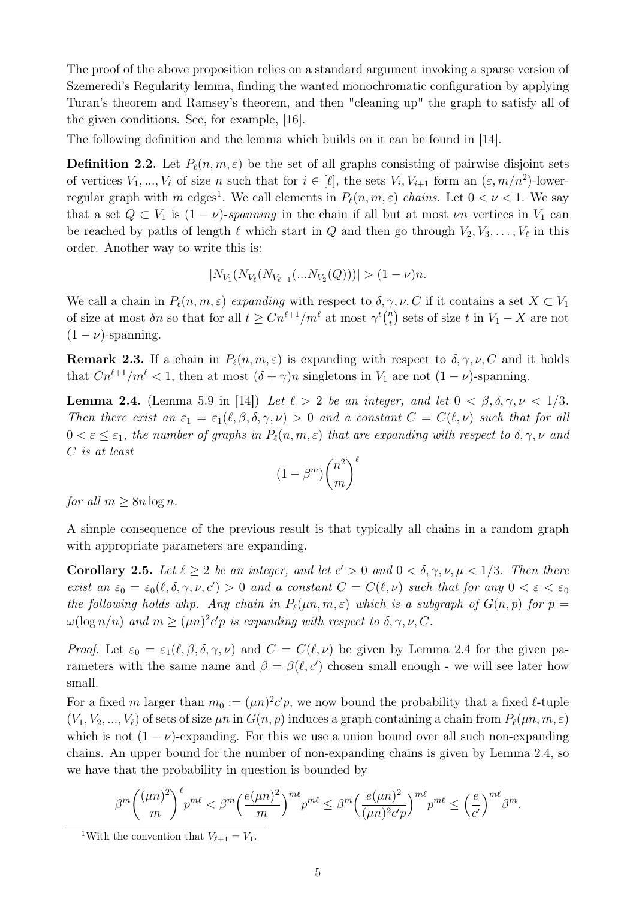The proof of the above proposition relies on a standard argument invoking a sparse version of Szemeredi's Regularity lemma, finding the wanted monochromatic configuration by applying Turan's theorem and Ramsey's theorem, and then "cleaning up" the graph to satisfy all of the given conditions. See, for example, [\[16\]](#page-11-3).

The following definition and the lemma which builds on it can be found in [\[14\]](#page-11-17).

**Definition 2.2.** Let  $P_{\ell}(n, m, \varepsilon)$  be the set of all graphs consisting of pairwise disjoint sets of vertices  $V_1, ..., V_\ell$  of size n such that for  $i \in [\ell],$  the sets  $V_i, V_{i+1}$  form an  $(\varepsilon, m/n^2)$ -lower-regular graph with m edges<sup>[1](#page-4-0)</sup>. We call elements in  $P_\ell(n, m, \varepsilon)$  chains. Let  $0 < \nu < 1$ . We say that a set  $Q \subset V_1$  is  $(1 - \nu)$ -spanning in the chain if all but at most  $\nu n$  vertices in  $V_1$  can be reached by paths of length  $\ell$  which start in  $Q$  and then go through  $V_2, V_3, \ldots, V_\ell$  in this order. Another way to write this is:

$$
|N_{V_1}(N_{V_{\ell}}(N_{V_{\ell-1}}(...N_{V_2}(Q)))| > (1-\nu)n.
$$

We call a chain in  $P_\ell(n, m, \varepsilon)$  expanding with respect to  $\delta, \gamma, \nu, C$  if it contains a set  $X \subset V_1$ of size at most  $\delta n$  so that for all  $t \geq C n^{\ell+1}/m^{\ell}$  at most  $\gamma^t \binom{n}{t}$  $\binom{n}{t}$  sets of size t in  $V_1 - X$  are not  $(1 - \nu)$ -spanning.

<span id="page-4-3"></span>**Remark 2.3.** If a chain in  $P_\ell(n, m, \varepsilon)$  is expanding with respect to  $\delta, \gamma, \nu, C$  and it holds that  $Cn^{\ell+1}/m^{\ell} < 1$ , then at most  $(\delta + \gamma)n$  singletons in  $V_1$  are not  $(1 - \nu)$ -spanning.

<span id="page-4-1"></span>**Lemma 2.4.** (Lemma 5.9 in [\[14\]](#page-11-17)) Let  $\ell > 2$  be an integer, and let  $0 < \beta, \delta, \gamma, \nu < 1/3$ . Then there exist an  $\varepsilon_1 = \varepsilon_1(\ell, \beta, \delta, \gamma, \nu) > 0$  and a constant  $C = C(\ell, \nu)$  such that for all  $0 < \varepsilon \leq \varepsilon_1$ , the number of graphs in  $P_\ell(n, m, \varepsilon)$  that are expanding with respect to  $\delta, \gamma, \nu$  and C is at least

$$
(1 - \beta^m) {n^2 \choose m}^{\ell}
$$

for all  $m \geq 8n \log n$ .

A simple consequence of the previous result is that typically all chains in a random graph with appropriate parameters are expanding.

<span id="page-4-2"></span>**Corollary 2.5.** Let  $\ell \geq 2$  be an integer, and let  $c' > 0$  and  $0 < \delta, \gamma, \nu, \mu < 1/3$ . Then there exist an  $\varepsilon_0 = \varepsilon_0(\ell, \delta, \gamma, \nu, c') > 0$  and a constant  $C = C(\ell, \nu)$  such that for any  $0 < \varepsilon < \varepsilon_0$ the following holds whp. Any chain in  $P_{\ell}(\mu n, m, \varepsilon)$  which is a subgraph of  $G(n, p)$  for  $p =$  $\omega(\log n/n)$  and  $m \geq (\mu n)^2 c' p$  is expanding with respect to  $\delta, \gamma, \nu, C$ .

*Proof.* Let  $\varepsilon_0 = \varepsilon_1(\ell, \beta, \delta, \gamma, \nu)$  and  $C = C(\ell, \nu)$  be given by Lemma [2.4](#page-4-1) for the given parameters with the same name and  $\beta = \beta(\ell, c')$  chosen small enough - we will see later how small.

For a fixed m larger than  $m_0 := (\mu n)^2 c' p$ , we now bound the probability that a fixed  $\ell$ -tuple  $(V_1, V_2, ..., V_\ell)$  of sets of size  $\mu n$  in  $G(n, p)$  induces a graph containing a chain from  $P_\ell(\mu n, m, \varepsilon)$ which is not  $(1 - \nu)$ -expanding. For this we use a union bound over all such non-expanding chains. An upper bound for the number of non-expanding chains is given by Lemma [2.4,](#page-4-1) so we have that the probability in question is bounded by

$$
\beta^{m} {\binom{(\mu n)^2}{m}}^\ell p^{m\ell} < \beta^{m} {\left(\frac{e(\mu n)^2}{m}\right)^{m\ell}} p^{m\ell} \leq \beta^{m} {\left(\frac{e(\mu n)^2}{(\mu n)^2 c' p}\right)^{m\ell}} p^{m\ell} \leq \left(\frac{e}{c'}\right)^{m\ell} \beta^{m}.
$$

<span id="page-4-0"></span><sup>&</sup>lt;sup>1</sup>With the convention that  $V_{\ell+1} = V_1$ .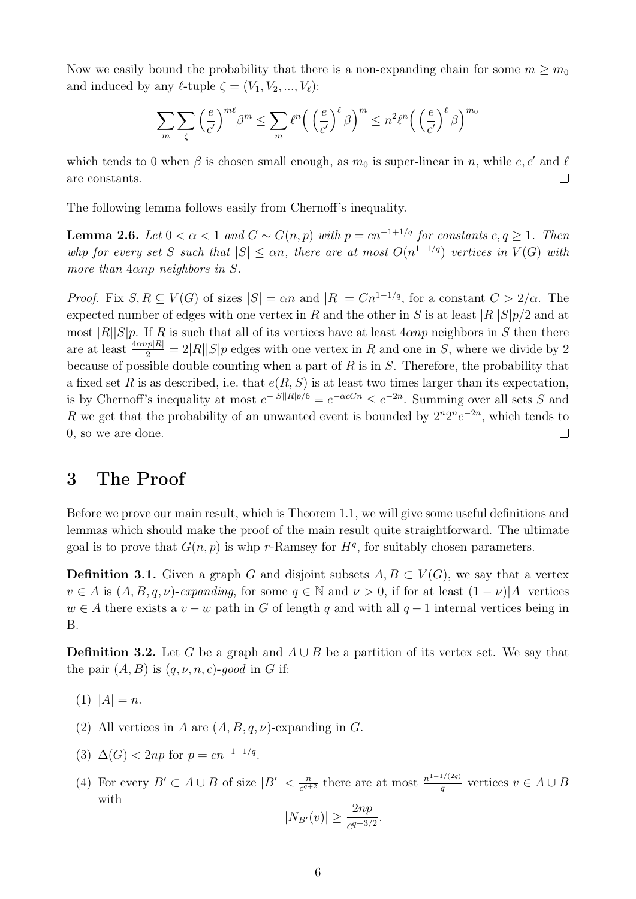Now we easily bound the probability that there is a non-expanding chain for some  $m \geq m_0$ and induced by any  $\ell$ -tuple  $\zeta = (V_1, V_2, ..., V_\ell)$ :

$$
\sum_{m} \sum_{\zeta} \left(\frac{e}{c'}\right)^{m\ell} \beta^{m} \le \sum_{m} \ell^{n} \left(\left(\frac{e}{c'}\right)^{\ell} \beta\right)^{m} \le n^{2} \ell^{n} \left(\left(\frac{e}{c'}\right)^{\ell} \beta\right)^{m_{0}}
$$

which tends to 0 when  $\beta$  is chosen small enough, as  $m_0$  is super-linear in n, while e, c' and  $\ell$ are constants.  $\Box$ 

<span id="page-5-1"></span>The following lemma follows easily from Chernoff's inequality.

**Lemma 2.6.** Let  $0 < \alpha < 1$  and  $G \sim G(n, p)$  with  $p = cn^{-1+1/q}$  for constants  $c, q \ge 1$ . Then whp for every set S such that  $|S| \leq \alpha n$ , there are at most  $O(n^{1-1/q})$  vertices in  $V(G)$  with more than  $4\alpha np$  neighbors in S.

*Proof.* Fix  $S, R \subseteq V(G)$  of sizes  $|S| = \alpha n$  and  $|R| = Cn^{1-1/q}$ , for a constant  $C > 2/\alpha$ . The expected number of edges with one vertex in R and the other in S is at least  $|R||S|p/2$  and at most  $|R||S|p$ . If R is such that all of its vertices have at least  $4\alpha np$  neighbors in S then there are at least  $\frac{4\alpha np|R|}{2} = 2|R||S|p$  edges with one vertex in R and one in S, where we divide by 2 because of possible double counting when a part of  $R$  is in  $S$ . Therefore, the probability that a fixed set R is as described, i.e. that  $e(R, S)$  is at least two times larger than its expectation. is by Chernoff's inequality at most  $e^{-|S||R|p/6} = e^{-\alpha cCn} \le e^{-2n}$ . Summing over all sets S and R we get that the probability of an unwanted event is bounded by  $2^n 2^n e^{-2n}$ , which tends to  $\Box$ 0, so we are done.

## 3 The Proof

Before we prove our main result, which is Theorem [1.1,](#page-2-0) we will give some useful definitions and lemmas which should make the proof of the main result quite straightforward. The ultimate goal is to prove that  $G(n, p)$  is whp r-Ramsey for  $H<sup>q</sup>$ , for suitably chosen parameters.

**Definition 3.1.** Given a graph G and disjoint subsets  $A, B \subset V(G)$ , we say that a vertex  $v \in A$  is  $(A, B, q, \nu)$ -expanding, for some  $q \in \mathbb{N}$  and  $\nu > 0$ , if for at least  $(1 - \nu)|A|$  vertices  $w \in A$  there exists a  $v - w$  path in G of length q and with all  $q - 1$  internal vertices being in B.

<span id="page-5-0"></span>**Definition 3.2.** Let G be a graph and  $A \cup B$  be a partition of its vertex set. We say that the pair  $(A, B)$  is  $(q, \nu, n, c)$ -good in G if:

- (1)  $|A| = n$ .
- (2) All vertices in A are  $(A, B, q, \nu)$ -expanding in G.
- (3)  $\Delta(G) < 2np$  for  $p = cn^{-1+1/q}$ .
- (4) For every  $B' \subset A \cup B$  of size  $|B'| < \frac{n}{c^{q+1}}$  $\frac{n}{c^{q+2}}$  there are at most  $\frac{n^{1-1/(2q)}}{q}$  $\frac{q}{q}$  vertices  $v \in A \cup B$ with

$$
|N_{B'}(v)| \ge \frac{2np}{c^{q+3/2}}.
$$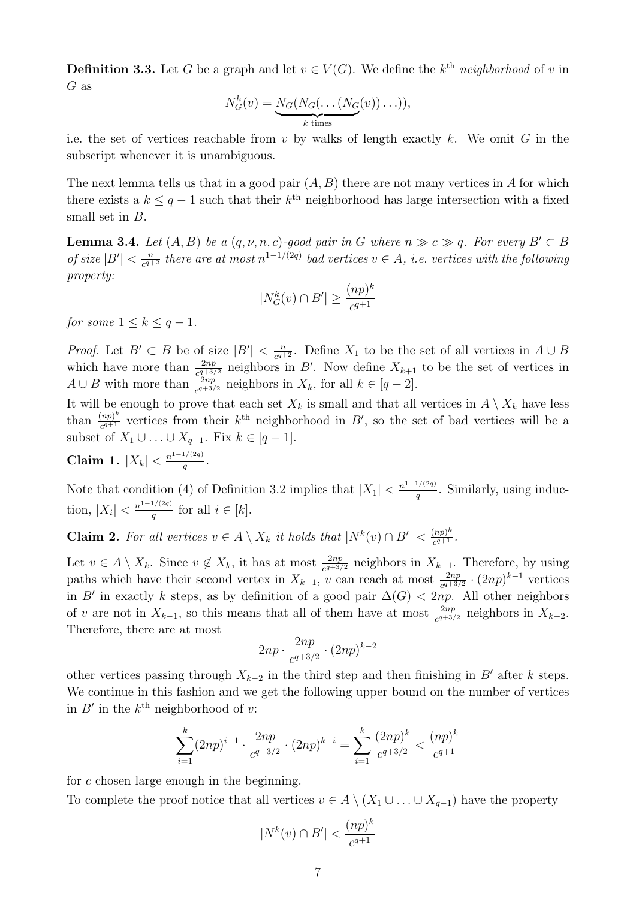**Definition 3.3.** Let G be a graph and let  $v \in V(G)$ . We define the k<sup>th</sup> neighborhood of v in G as

$$
N_G^k(v) = \underbrace{N_G(N_G(\dots(N_G(v))\dots))}_{k \text{ times}},
$$

i.e. the set of vertices reachable from  $v$  by walks of length exactly  $k$ . We omit  $G$  in the subscript whenever it is unambiguous.

The next lemma tells us that in a good pair  $(A, B)$  there are not many vertices in A for which there exists a  $k \leq q-1$  such that their  $k^{\text{th}}$  neighborhood has large intersection with a fixed small set in B.

<span id="page-6-2"></span>**Lemma 3.4.** Let  $(A, B)$  be a  $(q, \nu, n, c)$ -good pair in G where  $n \gg c \gg q$ . For every  $B' \subset B$ of size  $|B'| < \frac{n}{c^{q+1}}$  $\frac{n}{c^{q+2}}$  there are at most  $n^{1-1/(2q)}$  bad vertices  $v \in A$ , i.e. vertices with the following property:

$$
|N_G^k(v) \cap B'| \ge \frac{(np)^k}{c^{q+1}}
$$

for some  $1 \leq k \leq q-1$ .

*Proof.* Let  $B' \subset B$  be of size  $|B'| \leq \frac{n}{c^{q+1}}$  $\frac{n}{c^{q+2}}$ . Define  $X_1$  to be the set of all vertices in  $A \cup B$ which have more than  $\frac{2np}{c^{q+3/2}}$  neighbors in B'. Now define  $X_{k+1}$  to be the set of vertices in  $A \cup B$  with more than  $\frac{2np}{c^{q+3/2}}$  neighbors in  $X_k$ , for all  $k \in [q-2]$ .

It will be enough to prove that each set  $X_k$  is small and that all vertices in  $A \setminus X_k$  have less than  $\frac{(np)^k}{c^{q+1}}$  $\frac{(np)^k}{c^{q+1}}$  vertices from their  $k^{\text{th}}$  neighborhood in  $B'$ , so the set of bad vertices will be a subset of  $X_1 \cup \ldots \cup X_{q-1}$ . Fix  $k \in [q-1]$ .

<span id="page-6-1"></span>**Claim 1.** 
$$
|X_k| < \frac{n^{1-1/(2q)}}{q}
$$
.

Note that condition (4) of Definition [3.2](#page-5-0) implies that  $|X_1| < \frac{n^{1-1/(2q)}}{q}$  $\frac{q}{q}$ . Similarly, using induction,  $|X_i| < \frac{n^{1-1/(2q)}}{q}$  $\frac{q^{1/(2q)}}{q}$  for all  $i \in [k]$ .

<span id="page-6-0"></span>**Claim 2.** For all vertices  $v \in A \setminus X_k$  it holds that  $|N^k(v) \cap B'| < \frac{(np)^k}{c^{q+1}}$  $\frac{(np)^n}{c^{q+1}}$ .

Let  $v \in A \setminus X_k$ . Since  $v \notin X_k$ , it has at most  $\frac{2np}{c^{q+3/2}}$  neighbors in  $X_{k-1}$ . Therefore, by using paths which have their second vertex in  $X_{k-1}$ , v can reach at most  $\frac{2np}{c^{q+3/2}} \cdot (2np)^{k-1}$  vertices in B' in exactly k steps, as by definition of a good pair  $\Delta(G) < 2np$ . All other neighbors of v are not in  $X_{k-1}$ , so this means that all of them have at most  $\frac{2np}{c^{q+3/2}}$  neighbors in  $X_{k-2}$ . Therefore, there are at most

$$
2np \cdot \frac{2np}{c^{q+3/2}} \cdot (2np)^{k-2}
$$

other vertices passing through  $X_{k-2}$  in the third step and then finishing in B' after k steps. We continue in this fashion and we get the following upper bound on the number of vertices in  $B'$  in the  $k^{\text{th}}$  neighborhood of v:

$$
\sum_{i=1}^{k} (2np)^{i-1} \cdot \frac{2np}{c^{q+3/2}} \cdot (2np)^{k-i} = \sum_{i=1}^{k} \frac{(2np)^k}{c^{q+3/2}} < \frac{(np)^k}{c^{q+1}}
$$

for c chosen large enough in the beginning.

To complete the proof notice that all vertices  $v \in A \setminus (X_1 \cup \ldots \cup X_{q-1})$  have the property

$$
|N^k(v)\cap B'|<\frac{(np)^k}{c^{q+1}}
$$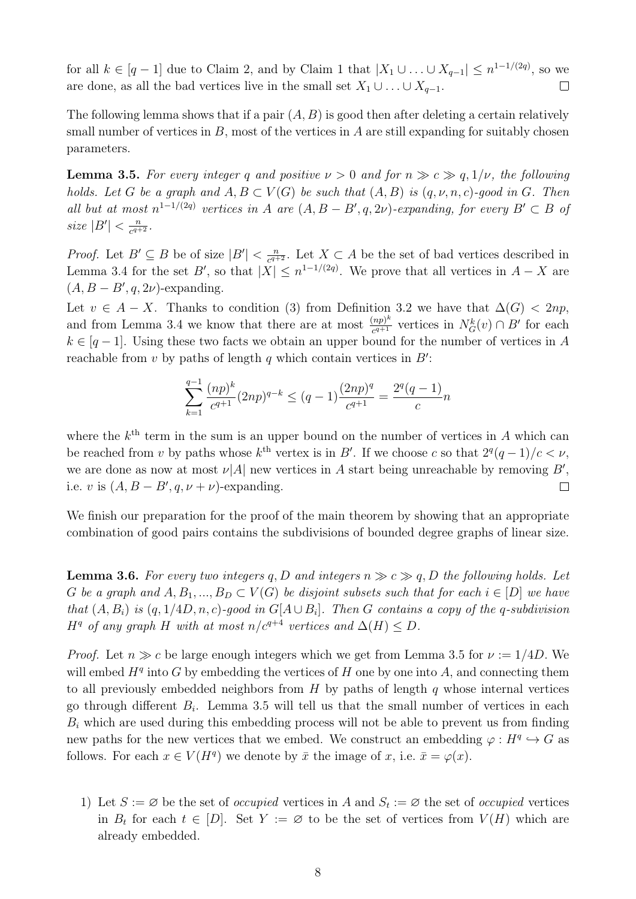for all  $k \in [q-1]$  due to Claim [2,](#page-6-0) and by Claim [1](#page-6-1) that  $|X_1 \cup ... \cup X_{q-1}| \leq n^{1-1/(2q)}$ , so we are done, as all the bad vertices live in the small set  $X_1 \cup \ldots \cup X_{q-1}$ .  $\Box$ 

The following lemma shows that if a pair  $(A, B)$  is good then after deleting a certain relatively small number of vertices in  $B$ , most of the vertices in  $A$  are still expanding for suitably chosen parameters.

<span id="page-7-0"></span>**Lemma 3.5.** For every integer q and positive  $\nu > 0$  and for  $n \gg c \gg q, 1/\nu$ , the following holds. Let G be a graph and  $A, B \subset V(G)$  be such that  $(A, B)$  is  $(q, \nu, n, c)$ -good in G. Then all but at most  $n^{1-1/(2q)}$  vertices in A are  $(A, B - B', q, 2\nu)$ -expanding, for every  $B' \subset B$  of size  $|B'| < \frac{n}{c^{q+1}}$  $\frac{n}{c^{q+2}}$ .

*Proof.* Let  $B' \subseteq B$  be of size  $|B'| < \frac{n}{c^{q+1}}$  $\frac{n}{c^{q+2}}$ . Let  $X \subset A$  be the set of bad vertices described in Lemma [3.4](#page-6-2) for the set B', so that  $|X| \leq n^{1-1/(2q)}$ . We prove that all vertices in  $A - X$  are  $(A, B - B', q, 2\nu)$ -expanding.

Let  $v \in A - X$ . Thanks to condition (3) from Definition [3.2](#page-5-0) we have that  $\Delta(G) < 2np$ , and from Lemma [3.4](#page-6-2) we know that there are at most  $\frac{(np)^k}{n^{q+1}}$  $\frac{(np)^k}{c^{q+1}}$  vertices in  $N_G^k(v) \cap B'$  for each  $k \in [q-1]$ . Using these two facts we obtain an upper bound for the number of vertices in A reachable from  $v$  by paths of length  $q$  which contain vertices in  $B'$ :

$$
\sum_{k=1}^{q-1} \frac{(np)^k}{c^{q+1}} (2np)^{q-k} \le (q-1) \frac{(2np)^q}{c^{q+1}} = \frac{2^q (q-1)}{c} n
$$

where the  $k^{\text{th}}$  term in the sum is an upper bound on the number of vertices in A which can be reached from v by paths whose  $k^{\text{th}}$  vertex is in B'. If we choose c so that  $2^q(q-1)/c < \nu$ , we are done as now at most  $\nu[A]$  new vertices in A start being unreachable by removing B', i.e. v is  $(A, B - B', q, \nu + \nu)$ -expanding.  $\Box$ 

We finish our preparation for the proof of the main theorem by showing that an appropriate combination of good pairs contains the subdivisions of bounded degree graphs of linear size.

<span id="page-7-1"></span>**Lemma 3.6.** For every two integers q, D and integers  $n \gg c \gg q$ , D the following holds. Let G be a graph and  $A, B_1, ..., B_D \subset V(G)$  be disjoint subsets such that for each  $i \in [D]$  we have that  $(A, B_i)$  is  $(q, 1/4D, n, c)$ -good in  $G[A \cup B_i]$ . Then G contains a copy of the q-subdivision  $H<sup>q</sup>$  of any graph H with at most n/c<sup>q+4</sup> vertices and  $\Delta(H) \leq D$ .

*Proof.* Let  $n \gg c$  be large enough integers which we get from Lemma [3.5](#page-7-0) for  $\nu := 1/4D$ . We will embed  $H<sup>q</sup>$  into G by embedding the vertices of H one by one into A, and connecting them to all previously embedded neighbors from  $H$  by paths of length  $q$  whose internal vertices go through different  $B_i$ . Lemma [3.5](#page-7-0) will tell us that the small number of vertices in each  $B_i$  which are used during this embedding process will not be able to prevent us from finding new paths for the new vertices that we embed. We construct an embedding  $\varphi: H^q \hookrightarrow G$  as follows. For each  $x \in V(H^q)$  we denote by  $\bar{x}$  the image of  $x$ , i.e.  $\bar{x} = \varphi(x)$ .

1) Let  $S := \emptyset$  be the set of *occupied* vertices in A and  $S_t := \emptyset$  the set of *occupied* vertices in  $B_t$  for each  $t \in [D]$ . Set  $Y := \emptyset$  to be the set of vertices from  $V(H)$  which are already embedded.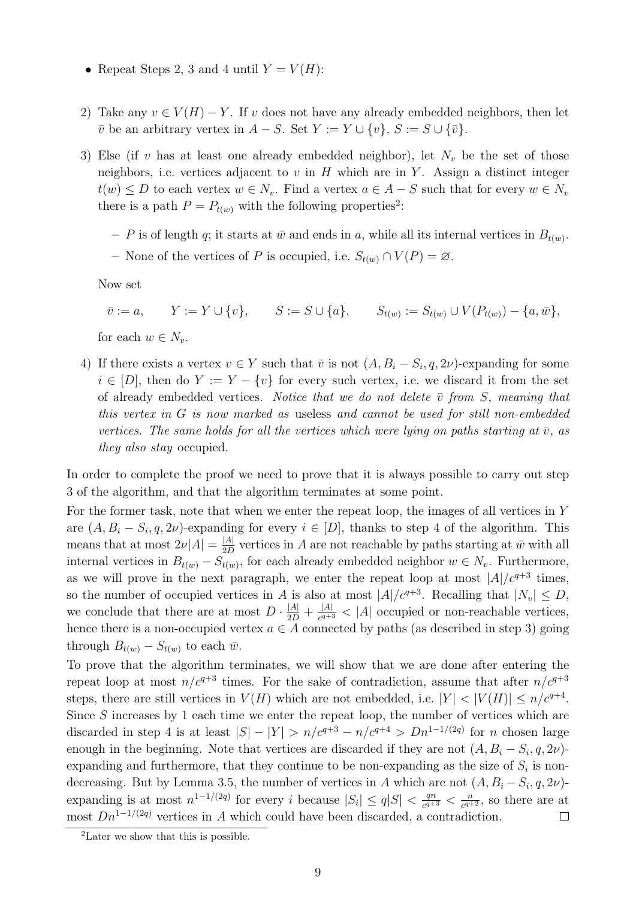- Repeat Steps 2, 3 and 4 until  $Y = V(H)$ :
- 2) Take any  $v \in V(H) Y$ . If v does not have any already embedded neighbors, then let  $\overline{v}$  be an arbitrary vertex in  $A - S$ . Set  $Y := Y \cup \{v\}, S := S \cup \{\overline{v}\}.$
- 3) Else (if v has at least one already embedded neighbor), let  $N_v$  be the set of those neighbors, i.e. vertices adjacent to  $v$  in  $H$  which are in  $Y$ . Assign a distinct integer  $t(w) \leq D$  to each vertex  $w \in N_v$ . Find a vertex  $a \in A - S$  such that for every  $w \in N_v$ there is a path  $P = P_{t(w)}$  with the following properties<sup>[2](#page-8-0)</sup>:
	- P is of length q; it starts at  $\bar{w}$  and ends in a, while all its internal vertices in  $B_{t(w)}$ .
	- None of the vertices of P is occupied, i.e.  $S_{t(w)} \cap V(P) = \emptyset$ .

Now set

$$
\bar{v} := a, \qquad Y := Y \cup \{v\}, \qquad S := S \cup \{a\}, \qquad S_{t(w)} := S_{t(w)} \cup V(P_{t(w)}) - \{a, \bar{w}\},
$$

for each  $w \in N_v$ .

4) If there exists a vertex  $v \in Y$  such that  $\bar{v}$  is not  $(A, B_i - S_i, q, 2\nu)$ -expanding for some  $i \in [D]$ , then do  $Y := Y - \{v\}$  for every such vertex, i.e. we discard it from the set of already embedded vertices. Notice that we do not delete  $\bar{v}$  from S, meaning that this vertex in G is now marked as useless and cannot be used for still non-embedded vertices. The same holds for all the vertices which were lying on paths starting at  $\bar{v}$ , as they also stay occupied.

In order to complete the proof we need to prove that it is always possible to carry out step 3 of the algorithm, and that the algorithm terminates at some point.

For the former task, note that when we enter the repeat loop, the images of all vertices in Y are  $(A, B_i - S_i, q, 2\nu)$ -expanding for every  $i \in [D]$ , thanks to step 4 of the algorithm. This means that at most  $2\nu|A| = \frac{|A|}{2D}$  $\frac{A}{2D}$  vertices in A are not reachable by paths starting at  $\bar{w}$  with all internal vertices in  $B_{t(w)} - S_{t(w)}$ , for each already embedded neighbor  $w \in N_v$ . Furthermore, as we will prove in the next paragraph, we enter the repeat loop at most  $|A|/c^{q+3}$  times, so the number of occupied vertices in A is also at most  $|A|/c^{q+3}$ . Recalling that  $|N_v| \leq D$ , we conclude that there are at most  $D \cdot \frac{|A|}{2D} + \frac{|A|}{c^{q+1}}$  $\frac{|A|}{c^{q+3}}$  < |A| occupied or non-reachable vertices, hence there is a non-occupied vertex  $a \in A$  connected by paths (as described in step 3) going through  $B_{t(w)} - S_{t(w)}$  to each  $\bar{w}$ .

To prove that the algorithm terminates, we will show that we are done after entering the repeat loop at most  $n/c^{q+3}$  times. For the sake of contradiction, assume that after  $n/c^{q+3}$ steps, there are still vertices in  $V(H)$  which are not embedded, i.e.  $|Y| < |V(H)| \le n/c^{q+4}$ . Since  $S$  increases by 1 each time we enter the repeat loop, the number of vertices which are discarded in step 4 is at least  $|S| - |Y| > n/c^{q+3} - n/c^{q+4} > Dn^{1-1/(2q)}$  for *n* chosen large enough in the beginning. Note that vertices are discarded if they are not  $(A, B_i - S_i, q, 2\nu)$ expanding and furthermore, that they continue to be non-expanding as the size of  $S_i$  is non-decreasing. But by Lemma [3.5,](#page-7-0) the number of vertices in A which are not  $(A, B_i - S_i, q, 2\nu)$ expanding is at most  $n^{1-1/(2q)}$  for every i because  $|S_i| \leq q|S| < \frac{qn}{c^{q+1}}$  $\frac{qn}{c^{q+3}} < \frac{n}{c^{q+3}}$  $\frac{n}{c^{q+2}}$ , so there are at most  $Dn^{1-1/(2q)}$  vertices in A which could have been discarded, a contradiction.  $\Box$ 

<span id="page-8-0"></span> $^{2}$ Later we show that this is possible.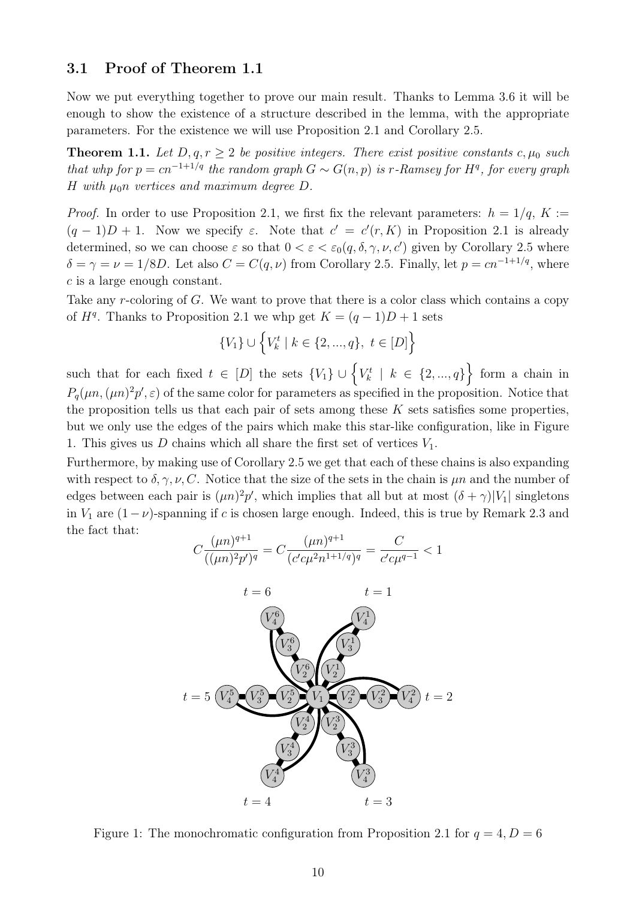#### 3.1 Proof of Theorem [1.1](#page-2-0)

Now we put everything together to prove our main result. Thanks to Lemma [3.6](#page-7-1) it will be enough to show the existence of a structure described in the lemma, with the appropriate parameters. For the existence we will use Proposition [2.1](#page-3-0) and Corollary [2.5.](#page-4-2)

**Theorem 1.1.** Let  $D, q, r \geq 2$  be positive integers. There exist positive constants c,  $\mu_0$  such that whp for  $p = cn^{-1+1/q}$  the random graph  $G \sim G(n, p)$  is r-Ramsey for  $H<sup>q</sup>$ , for every graph H with  $\mu_0$ n vertices and maximum degree D.

*Proof.* In order to use Proposition [2.1,](#page-3-0) we first fix the relevant parameters:  $h = 1/q$ ,  $K :=$  $(q-1)D+1$ . Now we specify  $\varepsilon$ . Note that  $c' = c'(r, K)$  in Proposition [2.1](#page-3-0) is already determined, so we can choose  $\varepsilon$  so that  $0 < \varepsilon < \varepsilon_0(q, \delta, \gamma, \nu, c')$  given by Corollary [2.5](#page-4-2) where  $\delta = \gamma = \nu = 1/8D$ . Let also  $C = C(q, \nu)$  from Corollary [2.5.](#page-4-2) Finally, let  $p = cn^{-1+1/q}$ , where c is a large enough constant.

Take any r-coloring of G. We want to prove that there is a color class which contains a copy of  $H<sup>q</sup>$ . Thanks to Proposition [2.1](#page-3-0) we whp get  $K = (q-1)D + 1$  sets

$$
\{V_1\} \cup \left\{V_k^t \mid k \in \{2, ..., q\}, t \in [D]\right\}
$$

such that for each fixed  $t \in [D]$  the sets  $\{V_1\} \cup \{V_k^t \mid k \in \{2, ..., q\}\}$  form a chain in  $P_q(\mu n,(\mu n)^2 p',\epsilon)$  of the same color for parameters as specified in the proposition. Notice that the proposition tells us that each pair of sets among these  $K$  sets satisfies some properties. but we only use the edges of the pairs which make this star-like configuration, like in Figure 1. This gives us  $D$  chains which all share the first set of vertices  $V_1$ .

Furthermore, by making use of Corollary [2.5](#page-4-2) we get that each of these chains is also expanding with respect to  $\delta, \gamma, \nu, C$ . Notice that the size of the sets in the chain is  $\mu n$  and the number of edges between each pair is  $(\mu n)^2 p'$ , which implies that all but at most  $(\delta + \gamma)|V_1|$  singletons in  $V_1$  are  $(1-\nu)$ -spanning if c is chosen large enough. Indeed, this is true by Remark [2.3](#page-4-3) and the fact that:

$$
C\frac{(\mu n)^{q+1}}{((\mu n)^2 p')^q} = C\frac{(\mu n)^{q+1}}{(c'c\mu^2 n^{1+1/q})^q} = \frac{C}{c'c\mu^{q-1}} < 1
$$



Figure 1: The monochromatic configuration from Proposition [2.1](#page-3-0) for  $q = 4, D = 6$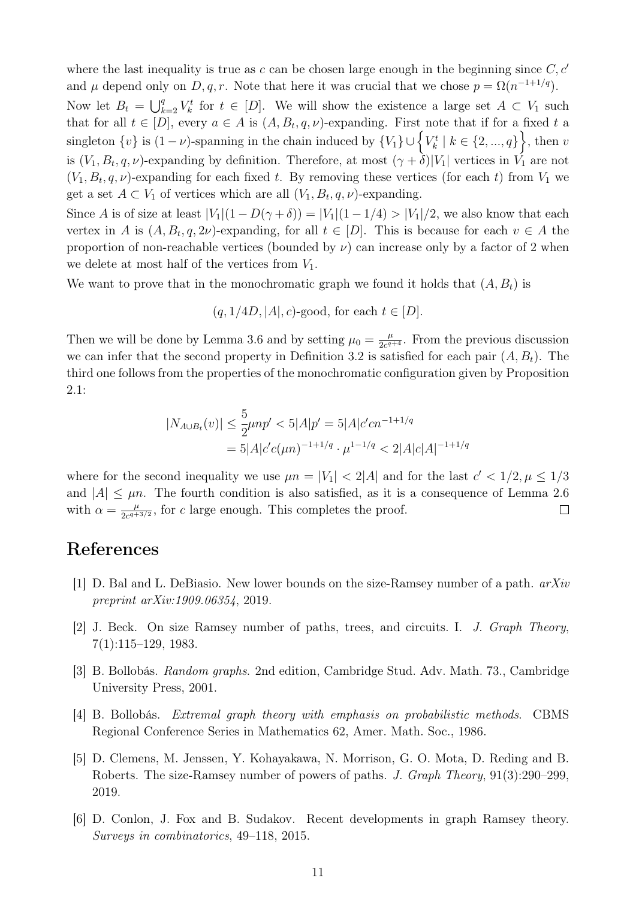where the last inequality is true as  $c$  can be chosen large enough in the beginning since  $C, c'$ and  $\mu$  depend only on D, q, r. Note that here it was crucial that we chose  $p = \Omega(n^{-1+1/q})$ . Now let  $B_t = \bigcup_{k=2}^q V_k^t$  for  $t \in [D]$ . We will show the existence a large set  $A \subset V_1$  such that for all  $t \in [D]$ , every  $a \in A$  is  $(A, B_t, q, \nu)$ -expanding. First note that if for a fixed t a singleton  $\{v\}$  is  $(1-\nu)$ -spanning in the chain induced by  $\{V_1\} \cup \{V_k^t \mid k \in \{2, ..., q\}\big\}$ , then v is  $(V_1, B_t, q, \nu)$ -expanding by definition. Therefore, at most  $(\gamma + \delta)|V_1|$  vertices in  $V_1$  are not  $(V_1, B_t, q, \nu)$ -expanding for each fixed t. By removing these vertices (for each t) from  $V_1$  we get a set  $A \subset V_1$  of vertices which are all  $(V_1, B_t, q, \nu)$ -expanding.

Since A is of size at least  $|V_1|(1 - D(\gamma + \delta)) = |V_1|(1 - 1/4) > |V_1|/2$ , we also know that each vertex in A is  $(A, B_t, q, 2\nu)$ -expanding, for all  $t \in [D]$ . This is because for each  $v \in A$  the proportion of non-reachable vertices (bounded by  $\nu$ ) can increase only by a factor of 2 when we delete at most half of the vertices from  $V_1$ .

We want to prove that in the monochromatic graph we found it holds that  $(A, B_t)$  is

 $(q, 1/4D, |A|, c)$ -good, for each  $t \in [D]$ .

Then we will be done by Lemma [3.6](#page-7-1) and by setting  $\mu_0 = \frac{\mu}{2c^q}$  $\frac{\mu}{2c^{q+4}}$ . From the previous discussion we can infer that the second property in Definition [3.2](#page-5-0) is satisfied for each pair  $(A, B_t)$ . The third one follows from the properties of the monochromatic configuration given by Proposition [2.1:](#page-3-0)

$$
|N_{A\cup B_t}(v)| \le \frac{5}{2}\mu np' < 5|A|p' = 5|A|c'cn^{-1+1/q}
$$
\n
$$
= 5|A|c'c(\mu n)^{-1+1/q} \cdot \mu^{1-1/q} < 2|A|c|A|^{-1+1/q}
$$

where for the second inequality we use  $\mu n = |V_1| < 2|A|$  and for the last  $c' < 1/2, \mu \leq 1/3$ and  $|A| \leq \mu n$ . The fourth condition is also satisfied, as it is a consequence of Lemma [2.6](#page-5-1) with  $\alpha = \frac{\mu}{2\sigma^4}$  $\frac{\mu}{2c^{q+3/2}}$ , for c large enough. This completes the proof.  $\Box$ 

### References

- <span id="page-10-2"></span>[1] D. Bal and L. DeBiasio. New lower bounds on the size-Ramsey number of a path. arXiv preprint arXiv:1909.06354, 2019.
- <span id="page-10-1"></span>[2] J. Beck. On size Ramsey number of paths, trees, and circuits. I. J. Graph Theory, 7(1):115–129, 1983.
- <span id="page-10-4"></span>[3] B. Bollobás. Random graphs. 2nd edition, Cambridge Stud. Adv. Math. 73., Cambridge University Press, 2001.
- <span id="page-10-3"></span>[4] B. Bollobás. Extremal graph theory with emphasis on probabilistic methods. CBMS Regional Conference Series in Mathematics 62, Amer. Math. Soc., 1986.
- <span id="page-10-5"></span>[5] D. Clemens, M. Jenssen, Y. Kohayakawa, N. Morrison, G. O. Mota, D. Reding and B. Roberts. The size-Ramsey number of powers of paths. J. Graph Theory, 91(3):290–299, 2019.
- <span id="page-10-0"></span>[6] D. Conlon, J. Fox and B. Sudakov. Recent developments in graph Ramsey theory. Surveys in combinatorics, 49–118, 2015.